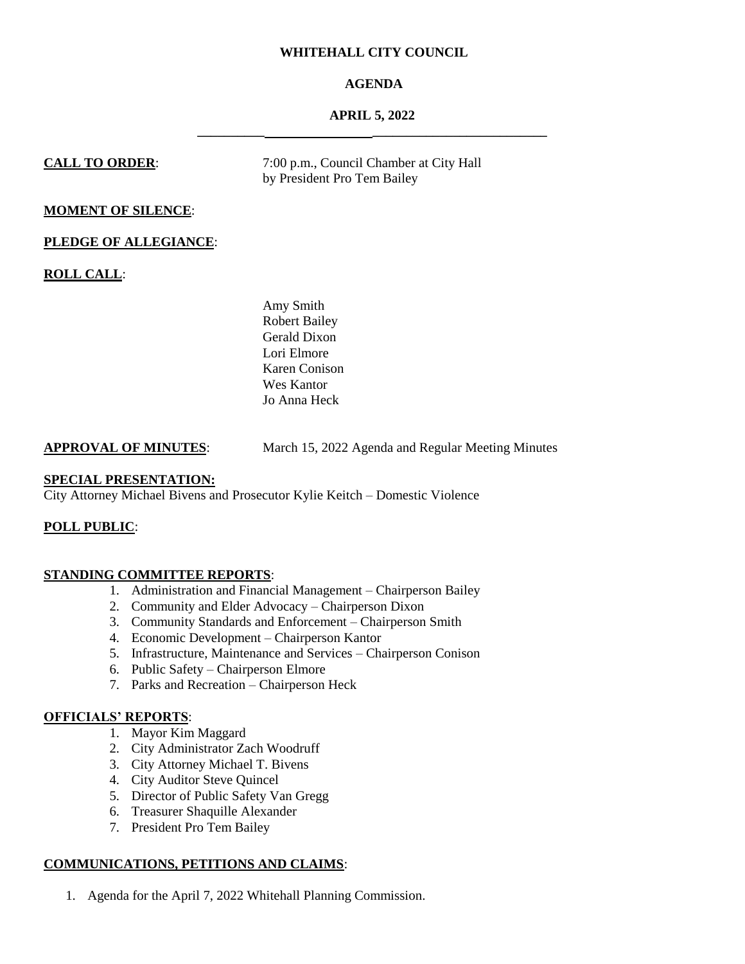# **WHITEHALL CITY COUNCIL**

# **AGENDA**

# **APRIL 5, 2022 \_\_\_\_\_\_\_\_\_\_ \_\_\_\_\_\_\_\_\_\_\_\_\_\_\_\_\_\_\_\_\_\_\_\_\_\_**

**CALL TO ORDER:** 7:00 p.m., Council Chamber at City Hall by President Pro Tem Bailey

# **MOMENT OF SILENCE**:

# **PLEDGE OF ALLEGIANCE**:

**ROLL CALL**:

Amy Smith Robert Bailey Gerald Dixon Lori Elmore Karen Conison Wes Kantor Jo Anna Heck

# **APPROVAL OF MINUTES**: March 15, 2022 Agenda and Regular Meeting Minutes

## **SPECIAL PRESENTATION:**

City Attorney Michael Bivens and Prosecutor Kylie Keitch – Domestic Violence

# **POLL PUBLIC**:

## **STANDING COMMITTEE REPORTS**:

- 1. Administration and Financial Management Chairperson Bailey
- 2. Community and Elder Advocacy Chairperson Dixon
- 3. Community Standards and Enforcement Chairperson Smith
- 4. Economic Development Chairperson Kantor
- 5. Infrastructure, Maintenance and Services Chairperson Conison
- 6. Public Safety Chairperson Elmore
- 7. Parks and Recreation Chairperson Heck

# **OFFICIALS' REPORTS**:

- 1. Mayor Kim Maggard
- 2. City Administrator Zach Woodruff
- 3. City Attorney Michael T. Bivens
- 4. City Auditor Steve Quincel
- 5. Director of Public Safety Van Gregg
- 6. Treasurer Shaquille Alexander
- 7. President Pro Tem Bailey

# **COMMUNICATIONS, PETITIONS AND CLAIMS**:

1. Agenda for the April 7, 2022 Whitehall Planning Commission.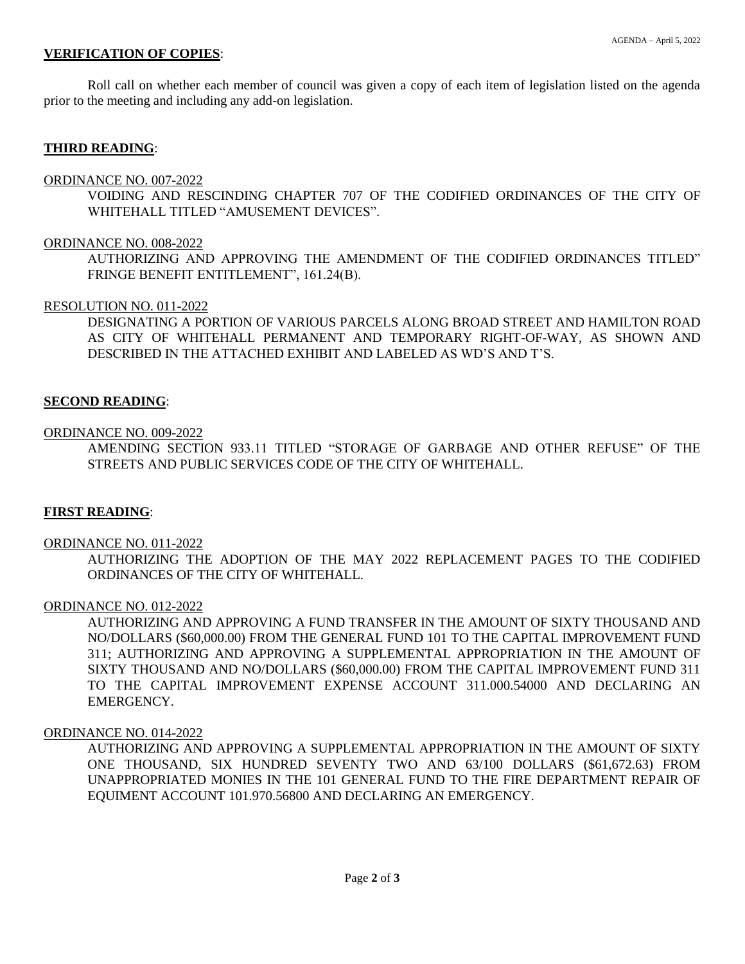## **VERIFICATION OF COPIES**:

Roll call on whether each member of council was given a copy of each item of legislation listed on the agenda prior to the meeting and including any add-on legislation.

## **THIRD READING**:

#### ORDINANCE NO. 007-2022

VOIDING AND RESCINDING CHAPTER 707 OF THE CODIFIED ORDINANCES OF THE CITY OF WHITEHALL TITLED "AMUSEMENT DEVICES".

### ORDINANCE NO. 008-2022

AUTHORIZING AND APPROVING THE AMENDMENT OF THE CODIFIED ORDINANCES TITLED" FRINGE BENEFIT ENTITLEMENT", 161.24(B).

#### RESOLUTION NO. 011-2022

DESIGNATING A PORTION OF VARIOUS PARCELS ALONG BROAD STREET AND HAMILTON ROAD AS CITY OF WHITEHALL PERMANENT AND TEMPORARY RIGHT-OF-WAY, AS SHOWN AND DESCRIBED IN THE ATTACHED EXHIBIT AND LABELED AS WD'S AND T'S.

#### **SECOND READING**:

#### ORDINANCE NO. 009-2022

AMENDING SECTION 933.11 TITLED "STORAGE OF GARBAGE AND OTHER REFUSE" OF THE STREETS AND PUBLIC SERVICES CODE OF THE CITY OF WHITEHALL.

## **FIRST READING**:

#### ORDINANCE NO. 011-2022

AUTHORIZING THE ADOPTION OF THE MAY 2022 REPLACEMENT PAGES TO THE CODIFIED ORDINANCES OF THE CITY OF WHITEHALL.

#### ORDINANCE NO. 012-2022

AUTHORIZING AND APPROVING A FUND TRANSFER IN THE AMOUNT OF SIXTY THOUSAND AND NO/DOLLARS (\$60,000.00) FROM THE GENERAL FUND 101 TO THE CAPITAL IMPROVEMENT FUND 311; AUTHORIZING AND APPROVING A SUPPLEMENTAL APPROPRIATION IN THE AMOUNT OF SIXTY THOUSAND AND NO/DOLLARS (\$60,000.00) FROM THE CAPITAL IMPROVEMENT FUND 311 TO THE CAPITAL IMPROVEMENT EXPENSE ACCOUNT 311.000.54000 AND DECLARING AN EMERGENCY.

### ORDINANCE NO. 014-2022

AUTHORIZING AND APPROVING A SUPPLEMENTAL APPROPRIATION IN THE AMOUNT OF SIXTY ONE THOUSAND, SIX HUNDRED SEVENTY TWO AND 63/100 DOLLARS (\$61,672.63) FROM UNAPPROPRIATED MONIES IN THE 101 GENERAL FUND TO THE FIRE DEPARTMENT REPAIR OF EQUIMENT ACCOUNT 101.970.56800 AND DECLARING AN EMERGENCY.